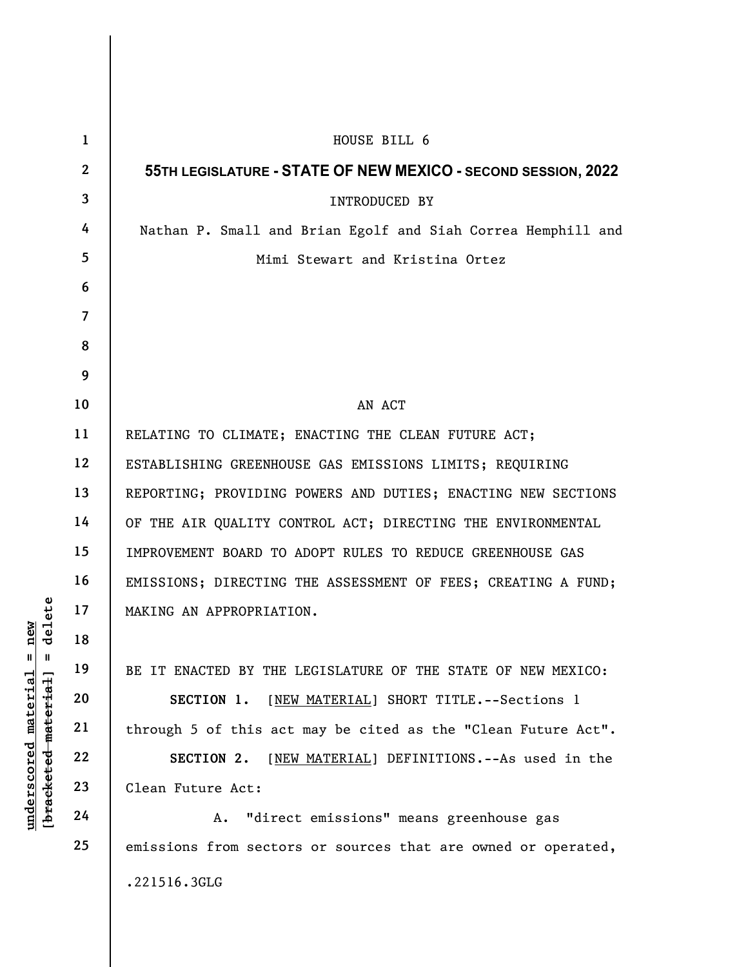|                                                                                                 | $\mathbf{1}$   | HOUSE BILL 6                                                  |
|-------------------------------------------------------------------------------------------------|----------------|---------------------------------------------------------------|
|                                                                                                 | $\mathbf{2}$   | 55TH LEGISLATURE - STATE OF NEW MEXICO - SECOND SESSION, 2022 |
|                                                                                                 | $\mathbf{3}$   | INTRODUCED BY                                                 |
|                                                                                                 | 4              | Nathan P. Small and Brian Egolf and Siah Correa Hemphill and  |
|                                                                                                 | 5 <sup>5</sup> | Mimi Stewart and Kristina Ortez                               |
|                                                                                                 | 6              |                                                               |
|                                                                                                 | $\overline{7}$ |                                                               |
|                                                                                                 | 8              |                                                               |
|                                                                                                 | 9              |                                                               |
|                                                                                                 | 10             | AN ACT                                                        |
|                                                                                                 | 11             | RELATING TO CLIMATE; ENACTING THE CLEAN FUTURE ACT;           |
|                                                                                                 | 12             | ESTABLISHING GREENHOUSE GAS EMISSIONS LIMITS; REQUIRING       |
|                                                                                                 | 13             | REPORTING; PROVIDING POWERS AND DUTIES; ENACTING NEW SECTIONS |
|                                                                                                 | 14             | OF THE AIR QUALITY CONTROL ACT; DIRECTING THE ENVIRONMENTAL   |
|                                                                                                 | 15             | IMPROVEMENT BOARD TO ADOPT RULES TO REDUCE GREENHOUSE GAS     |
|                                                                                                 | 16             | EMISSIONS; DIRECTING THE ASSESSMENT OF FEES; CREATING A FUND; |
| delete<br>new<br>$\mathbb{I}$<br>$\parallel$<br>material<br>[bracketed material]<br>underscored | 17             | MAKING AN APPROPRIATION.                                      |
|                                                                                                 | 18             |                                                               |
|                                                                                                 | 19             | BE IT ENACTED BY THE LEGISLATURE OF THE STATE OF NEW MEXICO:  |
|                                                                                                 | 20             | SECTION 1.<br>[NEW MATERIAL] SHORT TITLE. -- Sections 1       |
|                                                                                                 | 21             | through 5 of this act may be cited as the "Clean Future Act". |
|                                                                                                 | 22             | [NEW MATERIAL] DEFINITIONS. -- As used in the<br>SECTION 2.   |
|                                                                                                 | 23             | Clean Future Act:                                             |
|                                                                                                 | 24             | "direct emissions" means greenhouse gas<br>Α.                 |
|                                                                                                 | 25             | emissions from sectors or sources that are owned or operated, |
|                                                                                                 |                | .221516.3GLG                                                  |
|                                                                                                 |                |                                                               |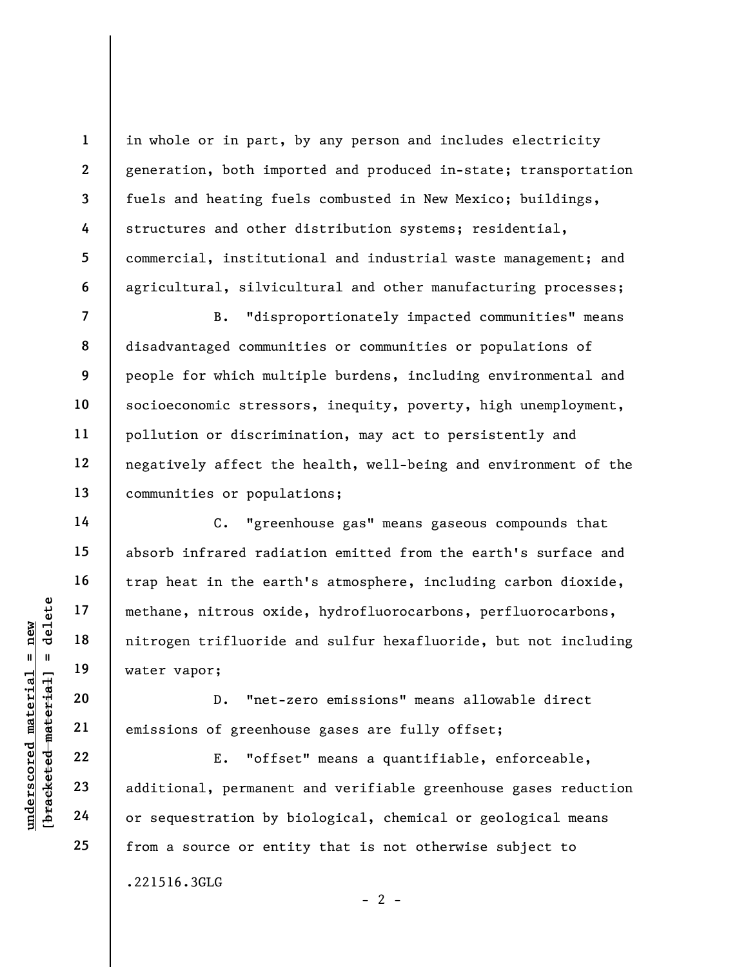in whole or in part, by any person and includes electricity generation, both imported and produced in-state; transportation fuels and heating fuels combusted in New Mexico; buildings, structures and other distribution systems; residential, commercial, institutional and industrial waste management; and agricultural, silvicultural and other manufacturing processes;

B. "disproportionately impacted communities" means disadvantaged communities or communities or populations of people for which multiple burdens, including environmental and socioeconomic stressors, inequity, poverty, high unemployment, pollution or discrimination, may act to persistently and negatively affect the health, well-being and environment of the communities or populations;

underschied material material material material material material material material material material material<br>
exception of greenhouse of greenhouse of greenhouse and the contract of the deleteration of the additional, pe C. "greenhouse gas" means gaseous compounds that absorb infrared radiation emitted from the earth's surface and trap heat in the earth's atmosphere, including carbon dioxide, methane, nitrous oxide, hydrofluorocarbons, perfluorocarbons, nitrogen trifluoride and sulfur hexafluoride, but not including water vapor;

D. "net-zero emissions" means allowable direct emissions of greenhouse gases are fully offset;

E. "offset" means a quantifiable, enforceable, additional, permanent and verifiable greenhouse gases reduction or sequestration by biological, chemical or geological means from a source or entity that is not otherwise subject to .221516.3GLG

 $- 2 -$ 

1

2

3

4

5

6

7

8

9

10

11

12

13

14

15

16

17

18

19

20

21

22

23

24

25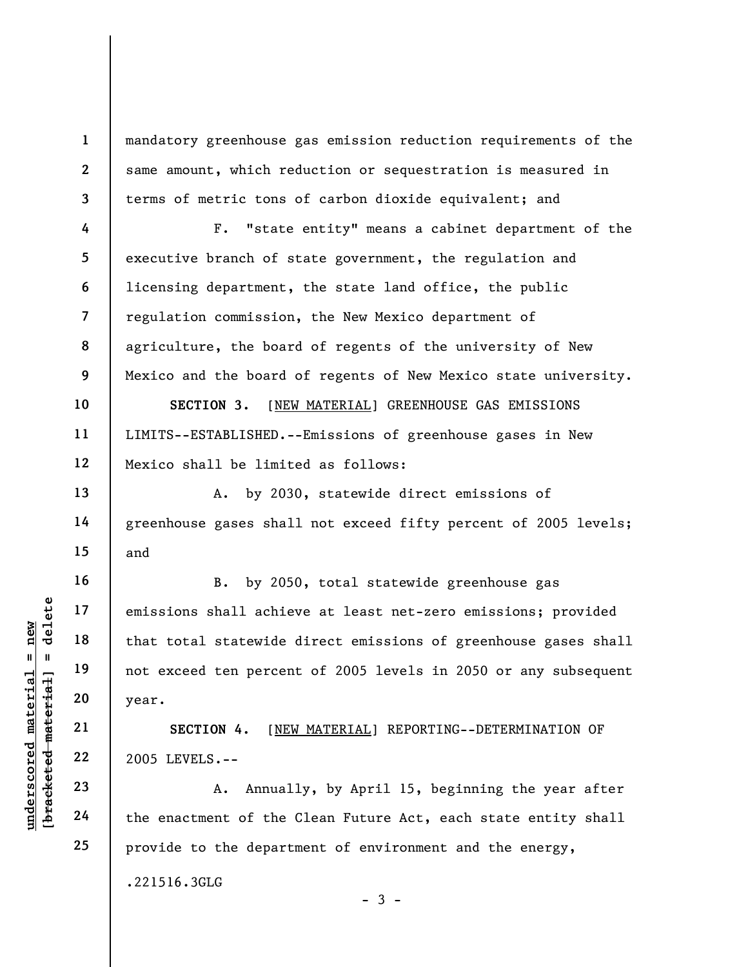mandatory greenhouse gas emission reduction requirements of the same amount, which reduction or sequestration is measured in terms of metric tons of carbon dioxide equivalent; and

F. "state entity" means a cabinet department of the executive branch of state government, the regulation and licensing department, the state land office, the public regulation commission, the New Mexico department of agriculture, the board of regents of the university of New Mexico and the board of regents of New Mexico state university.

SECTION 3. [NEW MATERIAL] GREENHOUSE GAS EMISSIONS LIMITS--ESTABLISHED.--Emissions of greenhouse gases in New Mexico shall be limited as follows:

A. by 2030, statewide direct emissions of greenhouse gases shall not exceed fifty percent of 2005 levels; and

underscore material emissions shall achie<br>  $\begin{array}{c|c|c|c} \hline \text{u} & \text{u} & \text{u} & \text{u} \\ \hline \text{u} & \text{u} & \text{u} & \text{u} \\ \hline \text{u} & \text{u} & \text{u} & \text{u} \\ \hline \text{u} & \text{u} & \text{u} & \text{u} \\ \hline \text{u} & \text{u} & \text{u} & \text{u} \\ \hline \text{u} & \text{u} & \text{u} & \text{u} \\ \hline$ B. by 2050, total statewide greenhouse gas emissions shall achieve at least net-zero emissions; provided that total statewide direct emissions of greenhouse gases shall not exceed ten percent of 2005 levels in 2050 or any subsequent year.

SECTION 4. [NEW MATERIAL] REPORTING--DETERMINATION OF 2005 LEVELS.--

A. Annually, by April 15, beginning the year after the enactment of the Clean Future Act, each state entity shall provide to the department of environment and the energy,

 $-3 -$ 

.221516.3GLG

1

2

3

4

5

6

7

8

9

10

11

12

13

14

15

16

17

18

19

20

21

22

23

24

25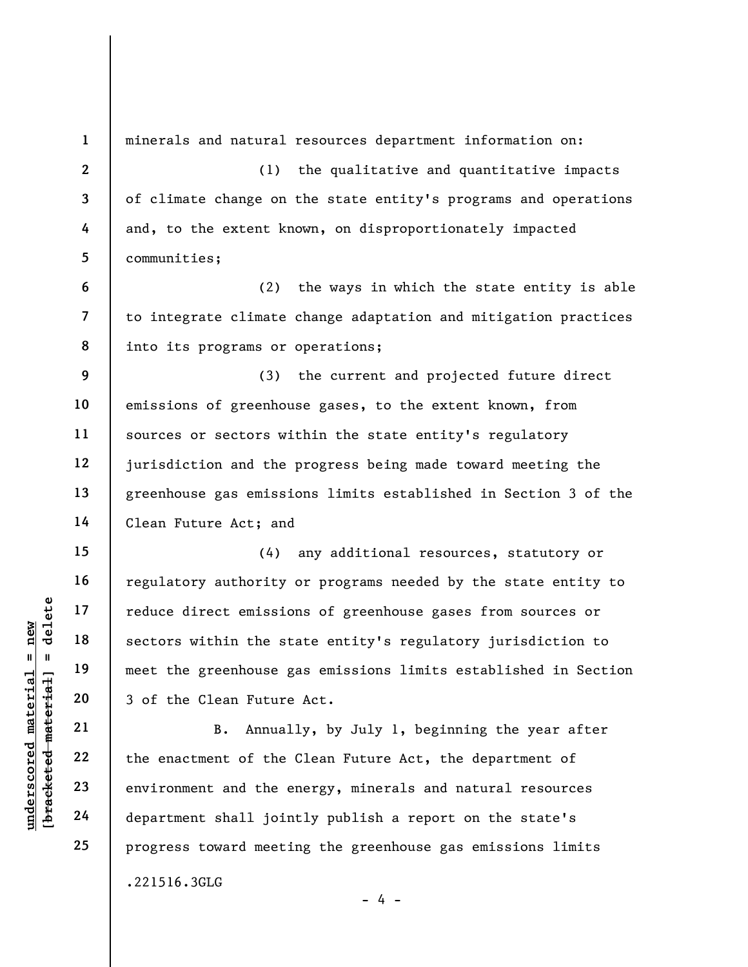|                         | $\mathbf{1}$             |                                                                 |
|-------------------------|--------------------------|-----------------------------------------------------------------|
|                         |                          | minerals and natural resources department information on:       |
|                         | $\boldsymbol{2}$         | the qualitative and quantitative impacts<br>(1)                 |
|                         | $\mathbf{3}$             | of climate change on the state entity's programs and operations |
|                         | 4                        | and, to the extent known, on disproportionately impacted        |
|                         | 5                        | communities;                                                    |
|                         | $\boldsymbol{6}$         | the ways in which the state entity is able<br>(2)               |
|                         | $\overline{\phantom{a}}$ | to integrate climate change adaptation and mitigation practices |
|                         | 8                        | into its programs or operations;                                |
|                         | 9                        | the current and projected future direct<br>(3)                  |
|                         | 10                       | emissions of greenhouse gases, to the extent known, from        |
|                         | 11                       | sources or sectors within the state entity's regulatory         |
|                         | 12                       | jurisdiction and the progress being made toward meeting the     |
|                         | 13                       | greenhouse gas emissions limits established in Section 3 of the |
|                         | 14                       | Clean Future Act; and                                           |
|                         | 15                       | (4)<br>any additional resources, statutory or                   |
|                         | 16                       | regulatory authority or programs needed by the state entity to  |
| delete                  | 17                       | reduce direct emissions of greenhouse gases from sources or     |
| new                     | 18                       | sectors within the state entity's regulatory jurisdiction to    |
| II.<br>$\mathbf{I}$     | 19                       | meet the greenhouse gas emissions limits established in Section |
| $\mathtt{matter}$       | 20                       | 3 of the Clean Future Act.                                      |
| material                | 21                       | B.<br>Annually, by July 1, beginning the year after             |
| $\bm{{\rm underscore}}$ | 22                       | the enactment of the Clean Future Act, the department of        |
| [bracketed              | 23                       | environment and the energy, minerals and natural resources      |
|                         | 24                       | department shall jointly publish a report on the state's        |
|                         | 25                       | progress toward meeting the greenhouse gas emissions limits     |
|                         |                          | .221516.3GLG                                                    |
|                         |                          | $-4 -$                                                          |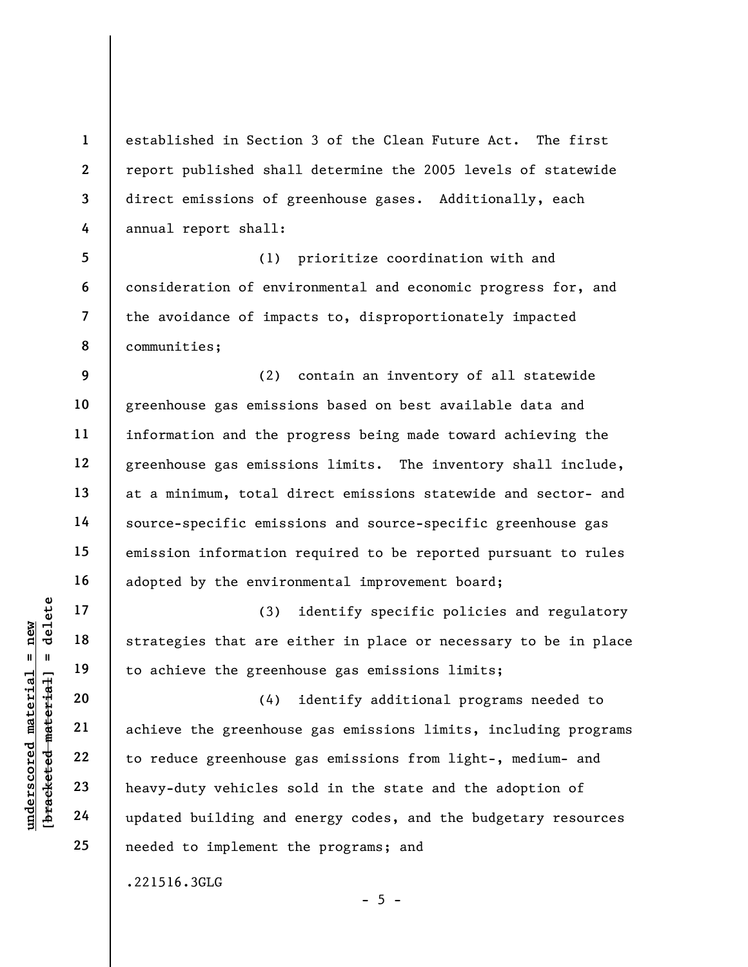established in Section 3 of the Clean Future Act. The first report published shall determine the 2005 levels of statewide direct emissions of greenhouse gases. Additionally, each annual report shall:

5 6 7 8 (1) prioritize coordination with and consideration of environmental and economic progress for, and the avoidance of impacts to, disproportionately impacted communities;

9 10 11 12 13 14 15 16 (2) contain an inventory of all statewide greenhouse gas emissions based on best available data and information and the progress being made toward achieving the greenhouse gas emissions limits. The inventory shall include, at a minimum, total direct emissions statewide and sector- and source-specific emissions and source-specific greenhouse gas emission information required to be reported pursuant to rules adopted by the environmental improvement board;

(3) identify specific policies and regulatory strategies that are either in place or necessary to be in place to achieve the greenhouse gas emissions limits;

underscored material = new [bracketed material] = delete (4) identify additional programs needed to achieve the greenhouse gas emissions limits, including programs to reduce greenhouse gas emissions from light-, medium- and heavy-duty vehicles sold in the state and the adoption of updated building and energy codes, and the budgetary resources needed to implement the programs; and

.221516.3GLG

17

18

19

20

21

22

23

24

25

1

2

3

4

 $- 5 -$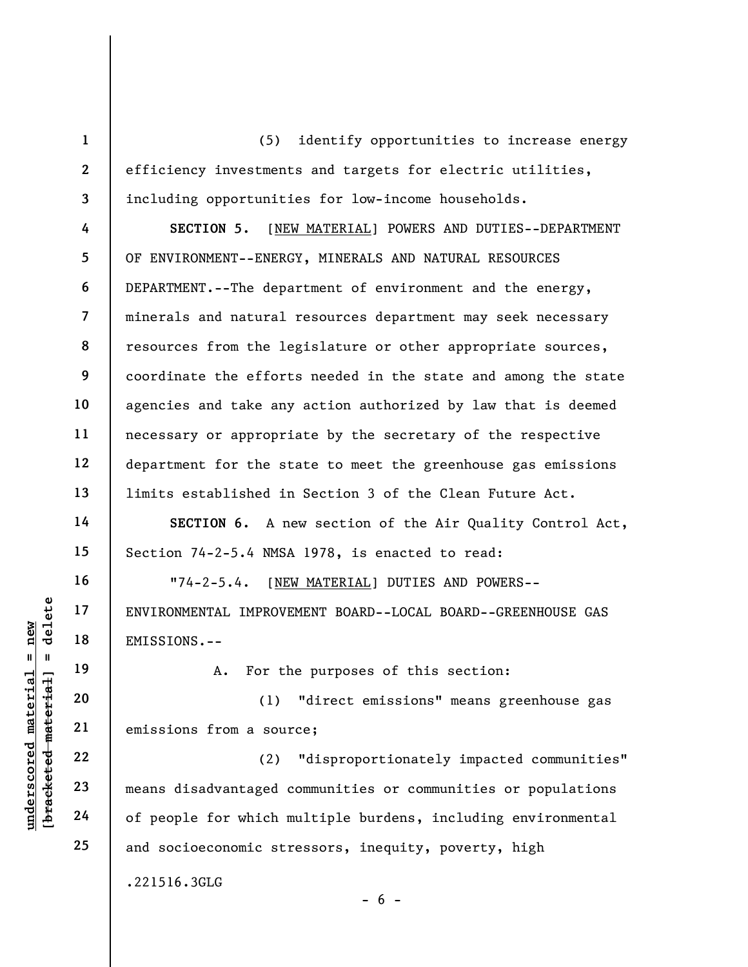(5) identify opportunities to increase energy efficiency investments and targets for electric utilities, including opportunities for low-income households.

4 5 6 7 8 9 10 11 12 13 SECTION 5. [NEW MATERIAL] POWERS AND DUTIES--DEPARTMENT OF ENVIRONMENT--ENERGY, MINERALS AND NATURAL RESOURCES DEPARTMENT.--The department of environment and the energy, minerals and natural resources department may seek necessary resources from the legislature or other appropriate sources, coordinate the efforts needed in the state and among the state agencies and take any action authorized by law that is deemed necessary or appropriate by the secretary of the respective department for the state to meet the greenhouse gas emissions limits established in Section 3 of the Clean Future Act.

SECTION 6. A new section of the Air Quality Control Act, Section 74-2-5.4 NMSA 1978, is enacted to read:

"74-2-5.4. [NEW MATERIAL] DUTIES AND POWERS-- ENVIRONMENTAL IMPROVEMENT BOARD--LOCAL BOARD--GREENHOUSE GAS EMISSIONS.--

A. For the purposes of this section:

(1) "direct emissions" means greenhouse gas emissions from a source;

UNDERENATOR ENVIRONMENTAL IMPROVE<br>
= 18<br>
= 19<br>
= 19<br>
= 20<br>
= 21<br>
= 22<br>
= 23<br>
= 24<br>
= 24<br>
= 26<br>
= 24<br>
= 26<br>
= 26<br>
= 26<br>
= 26<br>
= 26<br>
= 26<br>
= 26<br>
= 15<br>
= 15<br>
= 16<br>
= 16<br>
= 16<br>
= 16<br>
= 16<br>
= 16<br>
= 16<br>
= 16<br>
= 16<br>
= 16<br>
= 16<br>
= (2) "disproportionately impacted communities" means disadvantaged communities or communities or populations of people for which multiple burdens, including environmental and socioeconomic stressors, inequity, poverty, high

.221516.3GLG

1

2

3

14

15

16

17

18

19

20

21

22

23

24

25

 $- 6 -$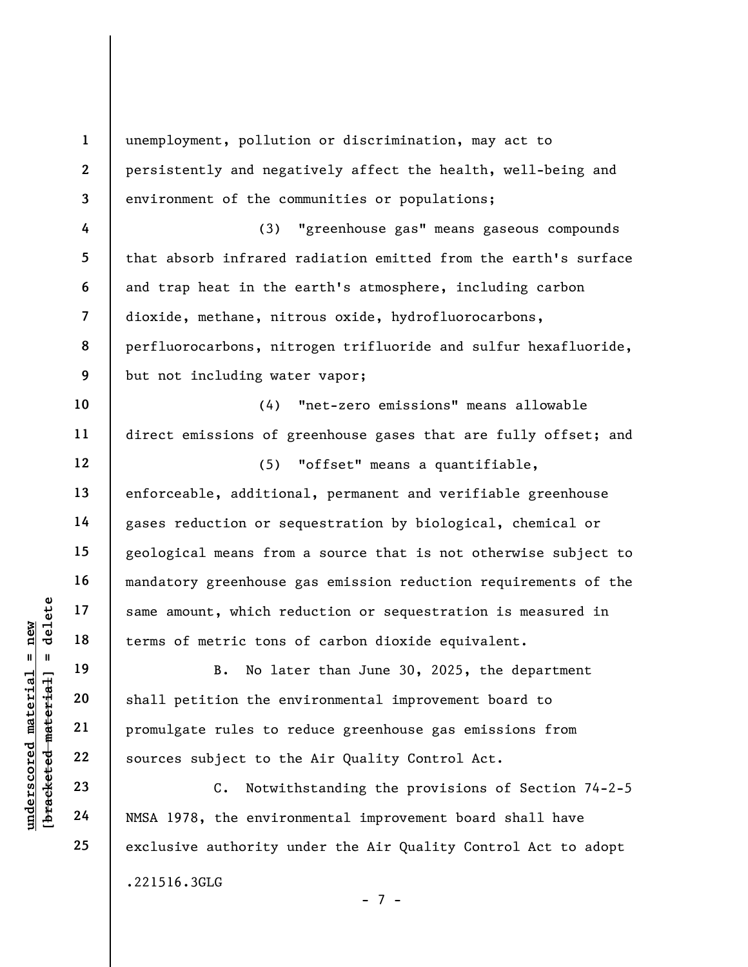understand material material same amount, which re<br>
under 18<br>
under 19<br>
20<br>
under 19<br>
21<br>
22<br>
under 22<br>
23<br>
24<br>
NMSA 1978, the environment<br>
24 1 2 3 4 5 6 7 8 9 10 11 12 13 14 15 16 17 18 19 20 21 22 23 24 25 unemployment, pollution or discrimination, may act to persistently and negatively affect the health, well-being and environment of the communities or populations; (3) "greenhouse gas" means gaseous compounds that absorb infrared radiation emitted from the earth's surface and trap heat in the earth's atmosphere, including carbon dioxide, methane, nitrous oxide, hydrofluorocarbons, perfluorocarbons, nitrogen trifluoride and sulfur hexafluoride, but not including water vapor; (4) "net-zero emissions" means allowable direct emissions of greenhouse gases that are fully offset; and (5) "offset" means a quantifiable, enforceable, additional, permanent and verifiable greenhouse gases reduction or sequestration by biological, chemical or geological means from a source that is not otherwise subject to mandatory greenhouse gas emission reduction requirements of the same amount, which reduction or sequestration is measured in terms of metric tons of carbon dioxide equivalent. B. No later than June 30, 2025, the department shall petition the environmental improvement board to promulgate rules to reduce greenhouse gas emissions from sources subject to the Air Quality Control Act. C. Notwithstanding the provisions of Section 74-2-5 NMSA 1978, the environmental improvement board shall have exclusive authority under the Air Quality Control Act to adopt .221516.3GLG

- 7 -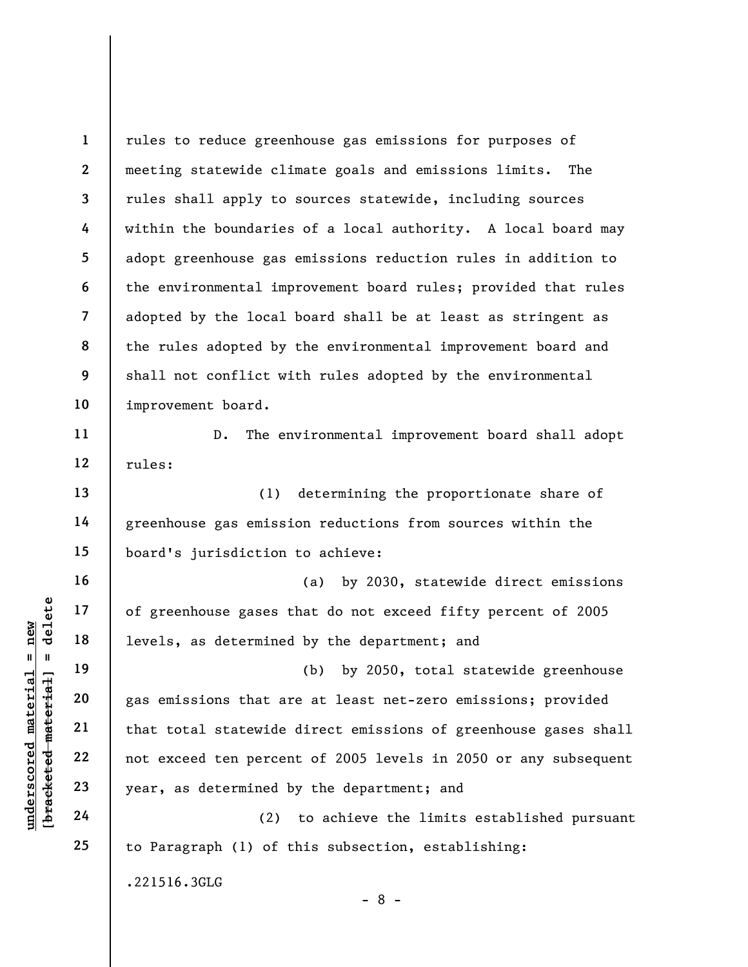1 2 3 4 5 6 7 8 9 10 11 rules to reduce greenhouse gas emissions for purposes of meeting statewide climate goals and emissions limits. The rules shall apply to sources statewide, including sources within the boundaries of a local authority. A local board may adopt greenhouse gas emissions reduction rules in addition to the environmental improvement board rules; provided that rules adopted by the local board shall be at least as stringent as the rules adopted by the environmental improvement board and shall not conflict with rules adopted by the environmental improvement board.

D. The environmental improvement board shall adopt rules:

(1) determining the proportionate share of greenhouse gas emission reductions from sources within the board's jurisdiction to achieve:

(a) by 2030, statewide direct emissions of greenhouse gases that do not exceed fifty percent of 2005 levels, as determined by the department; and

understand material exceed to percent the set of the set of the set of the set of the set of that total statewide<br>
we wanted that total statewide<br>
we wanted that total statewide<br>
we wanted the percent of the set of the set (b) by 2050, total statewide greenhouse gas emissions that are at least net-zero emissions; provided that total statewide direct emissions of greenhouse gases shall not exceed ten percent of 2005 levels in 2050 or any subsequent year, as determined by the department; and

(2) to achieve the limits established pursuant to Paragraph (1) of this subsection, establishing:

.221516.3GLG

12

13

14

15

16

17

18

19

20

21

22

23

24

25

- 8 -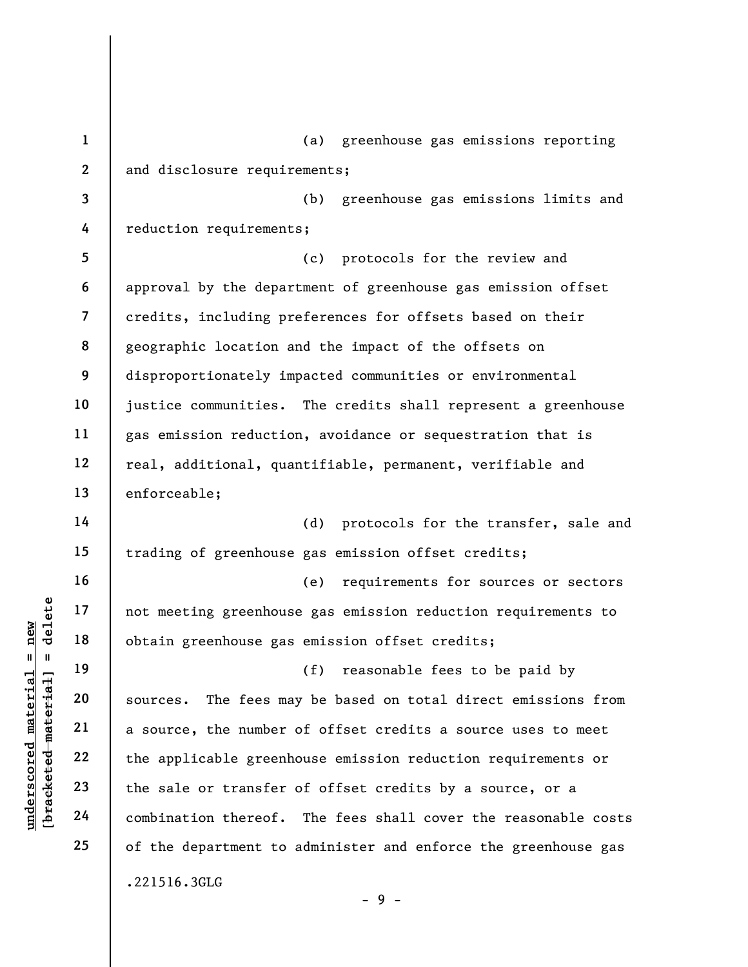underscored material = new [bracketed material] = delete 1 2 3 4 5 6 7 8 9 10 11 12 13 14 15 16 17 18 19 20 21 22 23 24 25 (a) greenhouse gas emissions reporting and disclosure requirements; (b) greenhouse gas emissions limits and reduction requirements; (c) protocols for the review and approval by the department of greenhouse gas emission offset credits, including preferences for offsets based on their geographic location and the impact of the offsets on disproportionately impacted communities or environmental justice communities. The credits shall represent a greenhouse gas emission reduction, avoidance or sequestration that is real, additional, quantifiable, permanent, verifiable and enforceable; (d) protocols for the transfer, sale and trading of greenhouse gas emission offset credits; (e) requirements for sources or sectors not meeting greenhouse gas emission reduction requirements to obtain greenhouse gas emission offset credits; (f) reasonable fees to be paid by sources. The fees may be based on total direct emissions from a source, the number of offset credits a source uses to meet the applicable greenhouse emission reduction requirements or the sale or transfer of offset credits by a source, or a combination thereof. The fees shall cover the reasonable costs of the department to administer and enforce the greenhouse gas .221516.3GLG

 $-9 -$